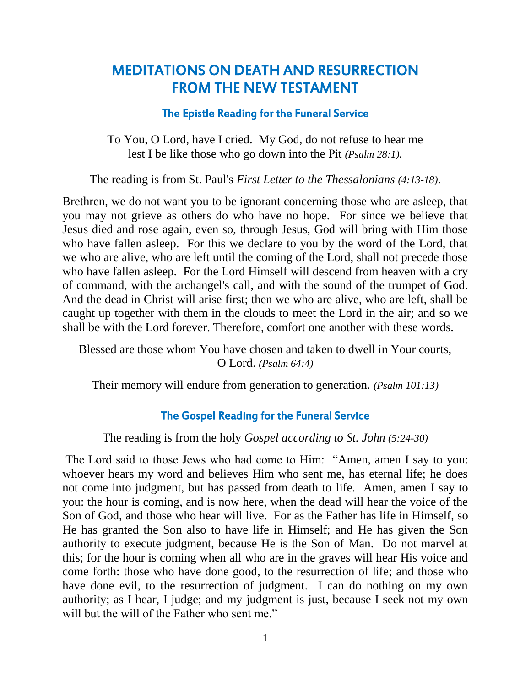# MEDITATIONS ON DEATH AND RESURRECTION FROM THE NEW TESTAMENT

### The Epistle Reading for the Funeral Service

To You, O Lord, have I cried. My God, do not refuse to hear me lest I be like those who go down into the Pit *(Psalm 28:1).*

The reading is from St. Paul's *First Letter to the Thessalonians (4:13-18)*.

Brethren, we do not want you to be ignorant concerning those who are asleep, that you may not grieve as others do who have no hope. For since we believe that Jesus died and rose again, even so, through Jesus, God will bring with Him those who have fallen asleep. For this we declare to you by the word of the Lord, that we who are alive, who are left until the coming of the Lord, shall not precede those who have fallen asleep. For the Lord Himself will descend from heaven with a cry of command, with the archangel's call, and with the sound of the trumpet of God. And the dead in Christ will arise first; then we who are alive, who are left, shall be caught up together with them in the clouds to meet the Lord in the air; and so we shall be with the Lord forever. Therefore, comfort one another with these words.

Blessed are those whom You have chosen and taken to dwell in Your courts, O Lord. *(Psalm 64:4)*

Their memory will endure from generation to generation. *(Psalm 101:13)*

### The Gospel Reading for the Funeral Service

The reading is from the holy *Gospel according to St. John (5:24-30)*

The Lord said to those Jews who had come to Him: "Amen, amen I say to you: whoever hears my word and believes Him who sent me, has eternal life; he does not come into judgment, but has passed from death to life. Amen, amen I say to you: the hour is coming, and is now here, when the dead will hear the voice of the Son of God, and those who hear will live. For as the Father has life in Himself, so He has granted the Son also to have life in Himself; and He has given the Son authority to execute judgment, because He is the Son of Man. Do not marvel at this; for the hour is coming when all who are in the graves will hear His voice and come forth: those who have done good, to the resurrection of life; and those who have done evil, to the resurrection of judgment. I can do nothing on my own authority; as I hear, I judge; and my judgment is just, because I seek not my own will but the will of the Father who sent me."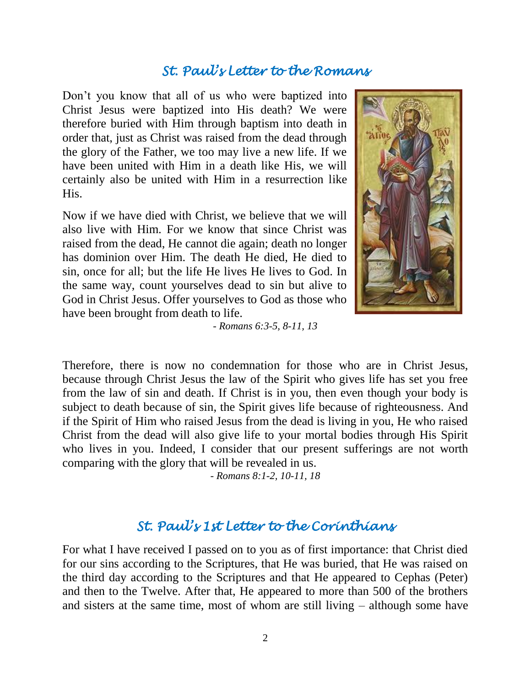## *St. Paul's Letter to the Romans*

Don't you know that all of us who were baptized into Christ Jesus were baptized into His death? We were therefore buried with Him through baptism into death in order that, just as Christ was raised from the dead through the glory of the Father, we too may live a new life. If we have been united with Him in a death like His, we will certainly also be united with Him in a resurrection like His.

Now if we have died with Christ, we believe that we will also live with Him. For we know that since Christ was raised from the dead, He cannot die again; death no longer has dominion over Him. The death He died, He died to sin, once for all; but the life He lives He lives to God. In the same way, count yourselves dead to sin but alive to God in Christ Jesus. Offer yourselves to God as those who have been brought from death to life.



*- Romans 6:3-5, 8-11, 13* 

Therefore, there is now no condemnation for those who are in Christ Jesus, because through Christ Jesus the law of the Spirit who gives life has set you free from the law of sin and death. If Christ is in you, then even though your body is subject to death because of sin, the Spirit gives life because of righteousness. And if the Spirit of Him who raised Jesus from the dead is living in you, He who raised Christ from the dead will also give life to your mortal bodies through His Spirit who lives in you. Indeed, I consider that our present sufferings are not worth comparing with the glory that will be revealed in us.

*- Romans 8:1-2, 10-11, 18* 

## *St. Paul's 1st Letter to the Corinthians*

For what I have received I passed on to you as of first importance: that Christ died for our sins according to the Scriptures, that He was buried, that He was raised on the third day according to the Scriptures and that He appeared to Cephas (Peter) and then to the Twelve. After that, He appeared to more than 500 of the brothers and sisters at the same time, most of whom are still living – although some have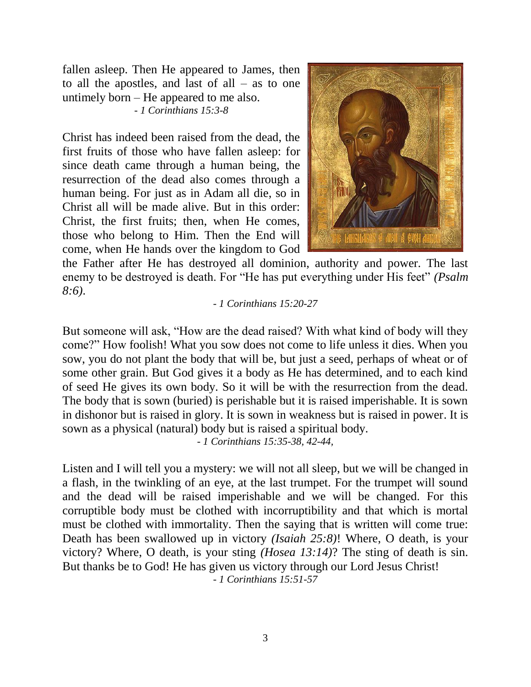fallen asleep. Then He appeared to James, then to all the apostles, and last of all  $-$  as to one untimely born – He appeared to me also. *- 1 Corinthians 15:3-8* 

Christ has indeed been raised from the dead, the first fruits of those who have fallen asleep: for since death came through a human being, the resurrection of the dead also comes through a human being. For just as in Adam all die, so in Christ all will be made alive. But in this order: Christ, the first fruits; then, when He comes, those who belong to Him. Then the End will come, when He hands over the kingdom to God



the Father after He has destroyed all dominion, authority and power. The last enemy to be destroyed is death. For "He has put everything under His feet" *(Psalm 8:6)*.

#### *- 1 Corinthians 15:20-27*

But someone will ask, "How are the dead raised? With what kind of body will they come?" How foolish! What you sow does not come to life unless it dies. When you sow, you do not plant the body that will be, but just a seed, perhaps of wheat or of some other grain. But God gives it a body as He has determined, and to each kind of seed He gives its own body. So it will be with the resurrection from the dead. The body that is sown (buried) is perishable but it is raised imperishable. It is sown in dishonor but is raised in glory. It is sown in weakness but is raised in power. It is sown as a physical (natural) body but is raised a spiritual body. *- 1 Corinthians 15:35-38, 42-44,* 

Listen and I will tell you a mystery: we will not all sleep, but we will be changed in a flash, in the twinkling of an eye, at the last trumpet. For the trumpet will sound and the dead will be raised imperishable and we will be changed. For this corruptible body must be clothed with incorruptibility and that which is mortal must be clothed with immortality. Then the saying that is written will come true: Death has been swallowed up in victory *(Isaiah 25:8)*! Where, O death, is your victory? Where, O death, is your sting *(Hosea 13:14)*? The sting of death is sin. But thanks be to God! He has given us victory through our Lord Jesus Christ! *- 1 Corinthians 15:51-57*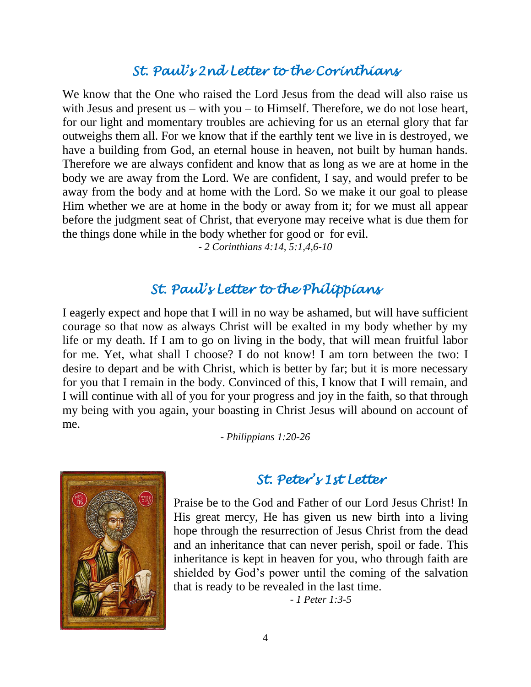## *St. Paul's 2nd Letter to the Corinthians*

We know that the One who raised the Lord Jesus from the dead will also raise us with Jesus and present us – with you – to Himself. Therefore, we do not lose heart, for our light and momentary troubles are achieving for us an eternal glory that far outweighs them all. For we know that if the earthly tent we live in is destroyed, we have a building from God, an eternal house in heaven, not built by human hands. Therefore we are always confident and know that as long as we are at home in the body we are away from the Lord. We are confident, I say, and would prefer to be away from the body and at home with the Lord. So we make it our goal to please Him whether we are at home in the body or away from it; for we must all appear before the judgment seat of Christ, that everyone may receive what is due them for the things done while in the body whether for good or for evil.

*- 2 Corinthians 4:14, 5:1,4,6-10*

# *St. Paul's Letter to the Philippians*

I eagerly expect and hope that I will in no way be ashamed, but will have sufficient courage so that now as always Christ will be exalted in my body whether by my life or my death. If I am to go on living in the body, that will mean fruitful labor for me. Yet, what shall I choose? I do not know! I am torn between the two: I desire to depart and be with Christ, which is better by far; but it is more necessary for you that I remain in the body. Convinced of this, I know that I will remain, and I will continue with all of you for your progress and joy in the faith, so that through my being with you again, your boasting in Christ Jesus will abound on account of me.

*- Philippians 1:20-26*



# *St. Peter's 1st Letter*

Praise be to the God and Father of our Lord Jesus Christ! In His great mercy, He has given us new birth into a living hope through the resurrection of Jesus Christ from the dead and an inheritance that can never perish, spoil or fade. This inheritance is kept in heaven for you, who through faith are shielded by God's power until the coming of the salvation that is ready to be revealed in the last time.

*- 1 Peter 1:3-5*